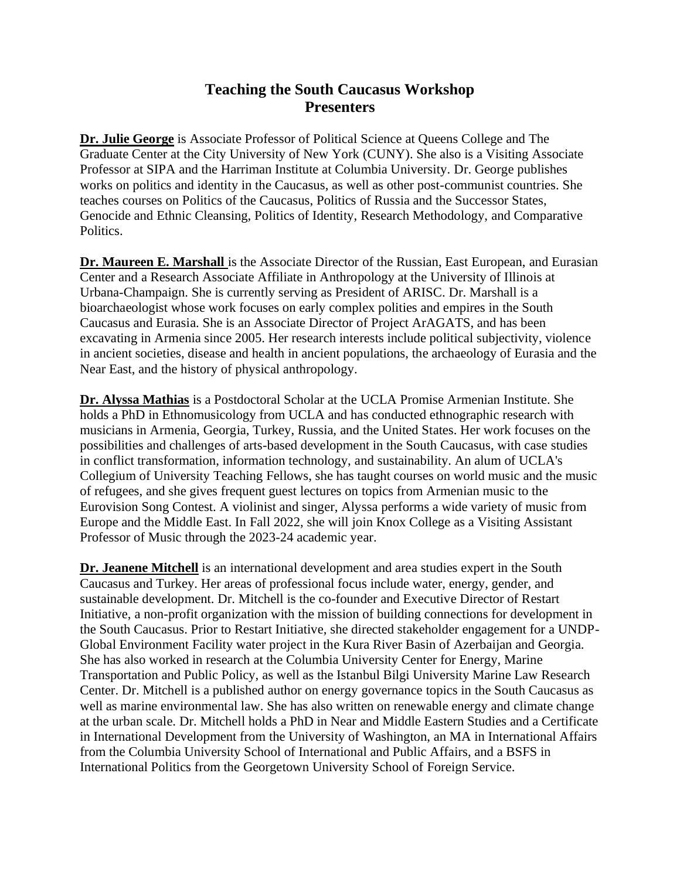## **Teaching the South Caucasus Workshop Presenters**

**Dr. Julie George** is Associate Professor of Political Science at Queens College and The Graduate Center at the City University of New York (CUNY). She also is a Visiting Associate Professor at SIPA and the Harriman Institute at Columbia University. Dr. George publishes works on politics and identity in the Caucasus, as well as other post-communist countries. She teaches courses on Politics of the Caucasus, Politics of Russia and the Successor States, Genocide and Ethnic Cleansing, Politics of Identity, Research Methodology, and Comparative Politics.

**Dr. Maureen E. Marshall** is the Associate Director of the Russian, East European, and Eurasian Center and a Research Associate Affiliate in Anthropology at the University of Illinois at Urbana-Champaign. She is currently serving as President of ARISC. Dr. Marshall is a bioarchaeologist whose work focuses on early complex polities and empires in the South Caucasus and Eurasia. She is an Associate Director of Project ArAGATS, and has been excavating in Armenia since 2005. Her research interests include political subjectivity, violence in ancient societies, disease and health in ancient populations, the archaeology of Eurasia and the Near East, and the history of physical anthropology.

**Dr. Alyssa Mathias** is a Postdoctoral Scholar at the UCLA Promise Armenian Institute. She holds a PhD in Ethnomusicology from UCLA and has conducted ethnographic research with musicians in Armenia, Georgia, Turkey, Russia, and the United States. Her work focuses on the possibilities and challenges of arts-based development in the South Caucasus, with case studies in conflict transformation, information technology, and sustainability. An alum of UCLA's Collegium of University Teaching Fellows, she has taught courses on world music and the music of refugees, and she gives frequent guest lectures on topics from Armenian music to the Eurovision Song Contest. A violinist and singer, Alyssa performs a wide variety of music from Europe and the Middle East. In Fall 2022, she will join Knox College as a Visiting Assistant Professor of Music through the 2023-24 academic year.

**Dr. Jeanene Mitchell** is an international development and area studies expert in the South Caucasus and Turkey. Her areas of professional focus include water, energy, gender, and sustainable development. Dr. Mitchell is the co-founder and Executive Director of Restart Initiative, a non-profit organization with the mission of building connections for development in the South Caucasus. Prior to Restart Initiative, she directed stakeholder engagement for a UNDP-Global Environment Facility water project in the Kura River Basin of Azerbaijan and Georgia. She has also worked in research at the Columbia University Center for Energy, Marine Transportation and Public Policy, as well as the Istanbul Bilgi University Marine Law Research Center. Dr. Mitchell is a published author on energy governance topics in the South Caucasus as well as marine environmental law. She has also written on renewable energy and climate change at the urban scale. Dr. Mitchell holds a PhD in Near and Middle Eastern Studies and a Certificate in International Development from the University of Washington, an MA in International Affairs from the Columbia University School of International and Public Affairs, and a BSFS in International Politics from the Georgetown University School of Foreign Service.